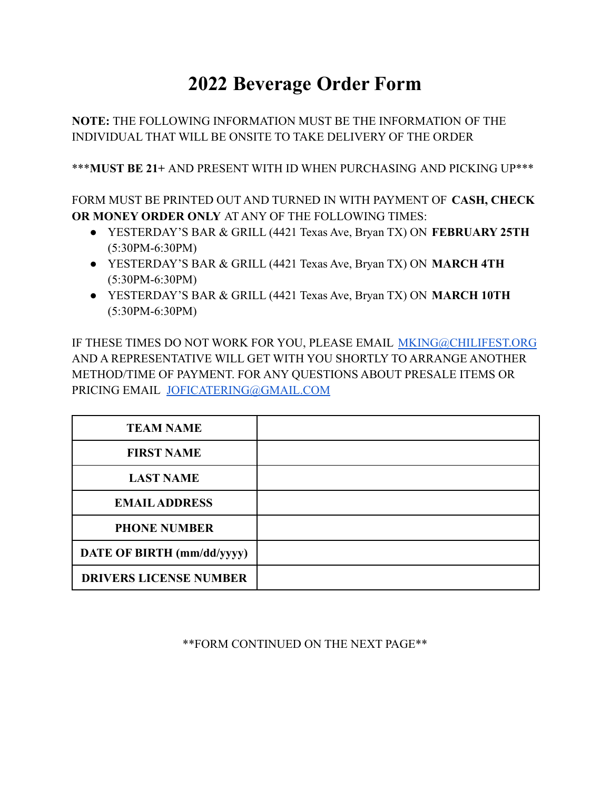## **2022 Beverage Order Form**

**NOTE:** THE FOLLOWING INFORMATION MUST BE THE INFORMATION OF THE INDIVIDUAL THAT WILL BE ONSITE TO TAKE DELIVERY OF THE ORDER

\*\*\***MUST BE 21+** AND PRESENT WITH ID WHEN PURCHASING AND PICKING UP\*\*\*

FORM MUST BE PRINTED OUT AND TURNED IN WITH PAYMENT OF **CASH, CHECK OR MONEY ORDER ONLY** AT ANY OF THE FOLLOWING TIMES:

- YESTERDAY'S BAR & GRILL (4421 Texas Ave, Bryan TX) ON **FEBRUARY 25TH** (5:30PM-6:30PM)
- YESTERDAY'S BAR & GRILL (4421 Texas Ave, Bryan TX) ON **MARCH 4TH** (5:30PM-6:30PM)
- YESTERDAY'S BAR & GRILL (4421 Texas Ave, Bryan TX) ON **MARCH 10TH** (5:30PM-6:30PM)

IF THESE TIMES DO NOT WORK FOR YOU, PLEASE EMAIL [MKING@CHILIFEST.ORG](mailto:MKING@CHILIFEST.ORG) AND A REPRESENTATIVE WILL GET WITH YOU SHORTLY TO ARRANGE ANOTHER METHOD/TIME OF PAYMENT. FOR ANY QUESTIONS ABOUT PRESALE ITEMS OR PRICING EMAIL [JOFICATERING@GMAIL.COM](mailto:JOFICATERING@GMAIL.COM)

| <b>TEAM NAME</b>              |  |
|-------------------------------|--|
| <b>FIRST NAME</b>             |  |
| <b>LAST NAME</b>              |  |
| <b>EMAIL ADDRESS</b>          |  |
| <b>PHONE NUMBER</b>           |  |
| DATE OF BIRTH (mm/dd/yyyy)    |  |
| <b>DRIVERS LICENSE NUMBER</b> |  |

## \*\*FORM CONTINUED ON THE NEXT PAGE\*\*